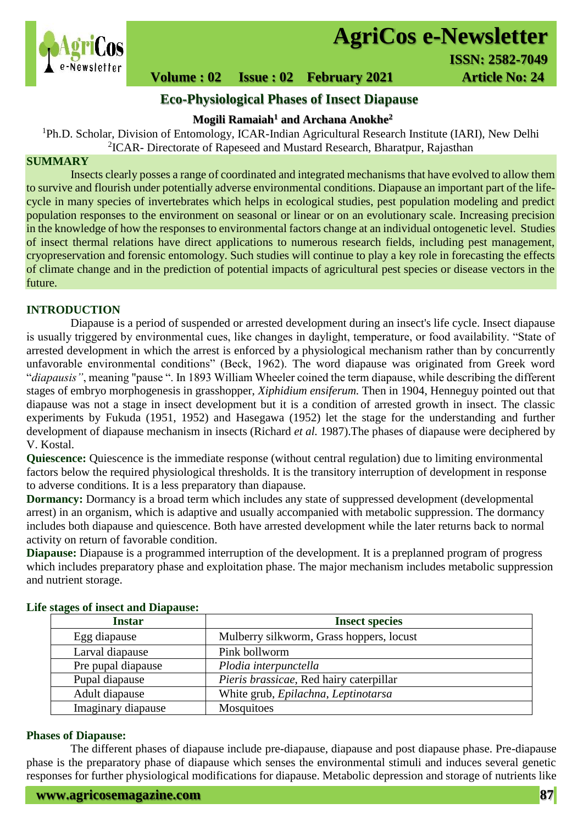

# **AgriCos e-Newsletter**

# **Volume : 02 Issue : 02 February 2021 41 Article No: 24**

# **Eco-Physiological Phases of Insect Diapause**

## **Mogili Ramaiah<sup>1</sup> and Archana Anokhe<sup>2</sup>**

<sup>1</sup>Ph.D. Scholar, Division of Entomology, ICAR-Indian Agricultural Research Institute (IARI), New Delhi <sup>2</sup>ICAR- Directorate of Rapeseed and Mustard Research, Bharatpur, Rajasthan

### **SUMMARY**

 Insects clearly posses a range of coordinated and integrated mechanisms that have evolved to allow them to survive and flourish under potentially adverse environmental conditions. Diapause an important part of the lifecycle in many species of invertebrates which helps in ecological studies, pest population modeling and predict population responses to the environment on seasonal or linear or on an evolutionary scale. Increasing precision in the knowledge of how the responses to environmental factors change at an individual ontogenetic level. Studies of insect thermal relations have direct applications to numerous research fields, including pest management, cryopreservation and forensic entomology. Such studies will continue to play a key role in forecasting the effects of climate change and in the prediction of potential impacts of agricultural pest species or disease vectors in the future.

#### **INTRODUCTION**

Diapause is a period of suspended or arrested development during an insect's life cycle. Insect diapause is usually triggered by environmental cues, like changes in daylight, temperature, or food availability. "State of arrested development in which the arrest is enforced by a physiological mechanism rather than by concurrently unfavorable environmental conditions" (Beck, 1962). The word diapause was originated from Greek word "*diapausis"*, meaning "pause ". In 1893 William Wheeler coined the term diapause, while describing the different stages of embryo morphogenesis in grasshopper, *Xiphidium ensiferum.* Then in 1904, Henneguy pointed out that diapause was not a stage in insect development but it is a condition of arrested growth in insect. The classic experiments by Fukuda (1951, 1952) and Hasegawa (1952) let the stage for the understanding and further development of diapause mechanism in insects (Richard *et al.* 1987).The phases of diapause were deciphered by V. Kostal.

**Quiescence:** Quiescence is the immediate response (without central regulation) due to limiting environmental factors below the required physiological thresholds. It is the transitory interruption of development in response to adverse conditions. It is a less preparatory than diapause.

**Dormancy:** Dormancy is a broad term which includes any state of suppressed development (developmental) arrest) in an organism, which is adaptive and usually accompanied with metabolic suppression. The dormancy includes both diapause and quiescence. Both have arrested development while the later returns back to normal activity on return of favorable condition.

**Diapause:** Diapause is a programmed interruption of the development. It is a preplanned program of progress which includes preparatory phase and exploitation phase. The major mechanism includes metabolic suppression and nutrient storage.

| <b>Instar</b>      | <b>Insect species</b>                    |  |
|--------------------|------------------------------------------|--|
| Egg diapause       | Mulberry silkworm, Grass hoppers, locust |  |
| Larval diapause    | Pink bollworm                            |  |
| Pre pupal diapause | Plodia interpunctella                    |  |
| Pupal diapause     | Pieris brassicae, Red hairy caterpillar  |  |
| Adult diapause     | White grub, Epilachna, Leptinotarsa      |  |
| Imaginary diapause | <b>Mosquitoes</b>                        |  |

### **Life stages of insect and Diapause:**

#### **Phases of Diapause:**

The different phases of diapause include pre-diapause, diapause and post diapause phase. Pre-diapause phase is the preparatory phase of diapause which senses the environmental stimuli and induces several genetic responses for further physiological modifications for diapause. Metabolic depression and storage of nutrients like